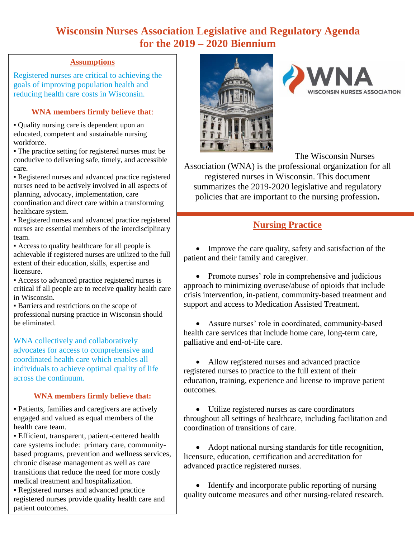# **Wisconsin Nurses Association Legislative and Regulatory Agenda for the 2019 – 2020 Biennium**

#### **Assumptions**

Registered nurses are critical to achieving the goals of improving population health and reducing health care costs in Wisconsin.

## **WNA members firmly believe that**:

▪ Quality nursing care is dependent upon an educated, competent and sustainable nursing workforce.

▪ The practice setting for registered nurses must be conducive to delivering safe, timely, and accessible care.

▪ Registered nurses and advanced practice registered nurses need to be actively involved in all aspects of planning, advocacy, implementation, care

coordination and direct care within a transforming healthcare system.

▪ Registered nurses and advanced practice registered nurses are essential members of the interdisciplinary team.

▪ Access to quality healthcare for all people is achievable if registered nurses are utilized to the full extent of their education, skills, expertise and licensure.

▪ Access to advanced practice registered nurses is critical if all people are to receive quality health care in Wisconsin.

▪ Barriers and restrictions on the scope of professional nursing practice in Wisconsin should be eliminated.

WNA collectively and collaboratively advocates for access to comprehensive and coordinated health care which enables all individuals to achieve optimal quality of life across the continuum.

#### **WNA members firmly believe that:**

▪ Patients, families and caregivers are actively engaged and valued as equal members of the health care team.

▪ Efficient, transparent, patient-centered health care systems include: primary care, communitybased programs, prevention and wellness services, chronic disease management as well as care transitions that reduce the need for more costly medical treatment and hospitalization.

▪ Registered nurses and advanced practice registered nurses provide quality health care and patient outcomes.





The Wisconsin Nurses

Association (WNA) is the professional organization for all registered nurses in Wisconsin. This document summarizes the 2019-2020 legislative and regulatory policies that are important to the nursing profession**.**

# **Nursing Practice**

• Improve the care quality, safety and satisfaction of the patient and their family and caregiver.

• Promote nurses' role in comprehensive and judicious approach to minimizing overuse/abuse of opioids that include crisis intervention, in-patient, community-based treatment and support and access to Medication Assisted Treatment.

 Assure nurses' role in coordinated, community-based health care services that include home care, long-term care, palliative and end-of-life care.

 Allow registered nurses and advanced practice registered nurses to practice to the full extent of their education, training, experience and license to improve patient outcomes.

 Utilize registered nurses as care coordinators throughout all settings of healthcare, including facilitation and coordination of transitions of care.

 Adopt national nursing standards for title recognition, licensure, education, certification and accreditation for advanced practice registered nurses.

• Identify and incorporate public reporting of nursing quality outcome measures and other nursing-related research.